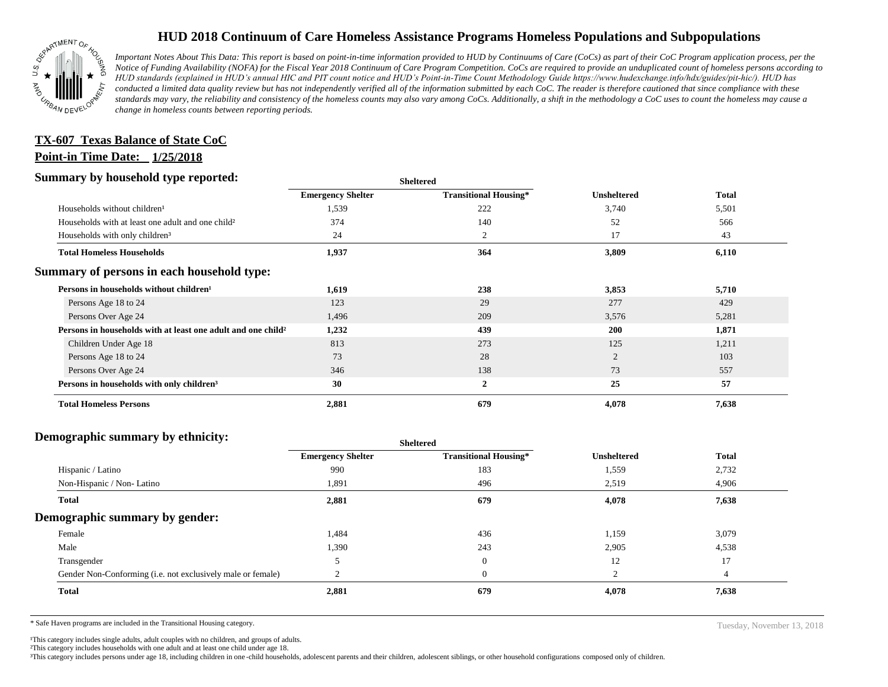

## **HUD 2018 Continuum of Care Homeless Assistance Programs Homeless Populations and Subpopulations**

*Important Notes About This Data: This report is based on point-in-time information provided to HUD by Continuums of Care (CoCs) as part of their CoC Program application process, per the Notice of Funding Availability (NOFA) for the Fiscal Year 2018 Continuum of Care Program Competition. CoCs are required to provide an unduplicated count of homeless persons according to HUD standards (explained in HUD's annual HIC and PIT count notice and HUD's Point-in-Time Count Methodology Guide https://www.hudexchange.info/hdx/guides/pit-hic/). HUD has conducted a limited data quality review but has not independently verified all of the information submitted by each CoC. The reader is therefore cautioned that since compliance with these*  standards may vary, the reliability and consistency of the homeless counts may also vary among CoCs. Additionally, a shift in the methodology a CoC uses to count the homeless may cause a *change in homeless counts between reporting periods.*

### **Point-in Time Date: 1/25/2018 TX-607 Texas Balance of State CoC**

#### **Summary by household type reported:**

| эшппагу бу поизепою туре герогіесі:                                      | <b>Sheltered</b>         |                              |                    |              |
|--------------------------------------------------------------------------|--------------------------|------------------------------|--------------------|--------------|
|                                                                          | <b>Emergency Shelter</b> | <b>Transitional Housing*</b> | <b>Unsheltered</b> | <b>Total</b> |
| Households without children <sup>1</sup>                                 | 1,539                    | 222                          | 3,740              | 5,501        |
| Households with at least one adult and one child <sup>2</sup>            | 374                      | 140                          | 52                 | 566          |
| Households with only children <sup>3</sup>                               | 24                       | 2                            | 17                 | 43           |
| <b>Total Homeless Households</b>                                         | 1,937                    | 364                          | 3,809              | 6,110        |
| Summary of persons in each household type:                               |                          |                              |                    |              |
| Persons in households without children <sup>1</sup>                      | 1,619                    | 238                          | 3,853              | 5,710        |
| Persons Age 18 to 24                                                     | 123                      | 29                           | 277                | 429          |
| Persons Over Age 24                                                      | 1,496                    | 209                          | 3,576              | 5,281        |
| Persons in households with at least one adult and one child <sup>2</sup> | 1,232                    | 439                          | <b>200</b>         | 1,871        |
| Children Under Age 18                                                    | 813                      | 273                          | 125                | 1,211        |
| Persons Age 18 to 24                                                     | 73                       | 28                           | $\overline{c}$     | 103          |
| Persons Over Age 24                                                      | 346                      | 138                          | 73                 | 557          |
| Persons in households with only children <sup>3</sup>                    | 30                       | $\overline{2}$               | 25                 | 57           |
| <b>Total Homeless Persons</b>                                            | 2,881                    | 679                          | 4,078              | 7,638        |

#### **Demographic summary by ethnicity:**

| ີ                                                           | Sneitered                |                              |                    |              |
|-------------------------------------------------------------|--------------------------|------------------------------|--------------------|--------------|
|                                                             | <b>Emergency Shelter</b> | <b>Transitional Housing*</b> | <b>Unsheltered</b> | <b>Total</b> |
| Hispanic / Latino                                           | 990                      | 183                          | 1,559              | 2,732        |
| Non-Hispanic / Non-Latino                                   | 1,891                    | 496                          | 2,519              | 4,906        |
| Total                                                       | 2,881                    | 679                          | 4,078              | 7,638        |
| Demographic summary by gender:                              |                          |                              |                    |              |
| Female                                                      | 1,484                    | 436                          | 1,159              | 3,079        |
| Male                                                        | 1,390                    | 243                          | 2,905              | 4,538        |
| Transgender                                                 |                          | $\mathbf{0}$                 | 12                 | 17           |
| Gender Non-Conforming (i.e. not exclusively male or female) |                          | $\mathbf{0}$                 | $\bigcap$          |              |
| <b>Total</b>                                                | 2,881                    | 679                          | 4,078              | 7,638        |
|                                                             |                          |                              |                    |              |

**Sheltered**

\* Safe Haven programs are included in the Transitional Housing category. Tuesday, November 13, 2018

<sup>1</sup>This category includes single adults, adult couples with no children, and groups of adults.

²This category includes households with one adult and at least one child under age 18.

³This category includes persons under age 18, including children in one -child households, adolescent parents and their children, adolescent siblings, or other household configurations composed only of children.